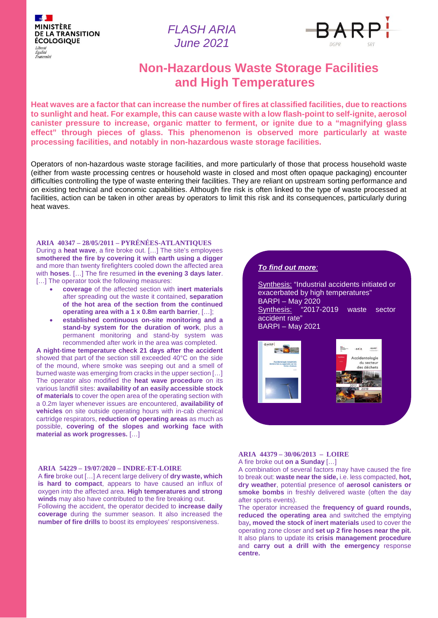$\mathbb{R}$ **MINISTÈRE DE LA TRANSITION ÉCOLOGIQUE** Liberté Égalité Fraternite

*FLASH ARIA June 2021*



# **Non-Hazardous Waste Storage Facilities and High Temperatures**

**Heat waves are a factor that can increase the number of fires at classified facilities, due to reactions to sunlight and heat. For example, this can cause waste with a low flash-point to self-ignite, aerosol canister pressure to increase, organic matter to ferment, or ignite due to a "magnifying glass effect" through pieces of glass. This phenomenon is observed more particularly at waste processing facilities, and notably in non-hazardous waste storage facilities.**

Operators of non-hazardous waste storage facilities, and more particularly of those that process household waste (either from waste processing centres or household waste in closed and most often opaque packaging) encounter difficulties controlling the type of waste entering their facilities. They are reliant on upstream sorting performance and on existing technical and economic capabilities. Although fire risk is often linked to the type of waste processed at facilities, action can be taken in other areas by operators to limit this risk and its consequences, particularly during heat waves.

**ARIA 40347 – 28/05/2011 – PYRÉNÉES-ATLANTIQUES** During a **heat wave**, a fire broke out. […] The site's employees **smothered the fire by covering it with earth using a digger**  and more than twenty firefighters cooled down the affected area with **hoses**. […] The fire resumed **in the evening 3 days later**. [...] The operator took the following measures:

- **coverage** of the affected section with **inert materials** after spreading out the waste it contained, **separation of the hot area of the section from the continued operating area with a 1 x 0.8m earth barrier**, […];
- **established continuous on-site monitoring and a stand-by system for the duration of work**, plus a permanent monitoring and stand-by system was recommended after work in the area was completed.

**A night-time temperature check 21 days after the accident**  showed that part of the section still exceeded 40°C on the side of the mound, where smoke was seeping out and a smell of burned waste was emerging from cracks in the upper section […] The operator also modified the **heat wave procedure** on its various landfill sites: **availability of an easily accessible stock of materials** to cover the open area of the operating section with a 0.2m layer whenever issues are encountered, **availability of vehicles** on site outside operating hours with in-cab chemical cartridge respirators, **reduction of operating areas** as much as possible, **covering of the slopes and working face with material as work progresses.** […]

#### **ARIA 54229 – 19/07/2020 – INDRE-ET-LOIRE**

A **fire** broke out […] A recent large delivery of **dry waste, which is hard to compact**, appears to have caused an influx of oxygen into the affected area. **High temperatures and strong winds** may also have contributed to the fire breaking out. Following the accident, the operator decided to **increase daily coverage** during the summer season. It also increased the **number of fire drills** to boost its employees' responsiveness.

#### *To find out more:*

Synthesis: "Industrial accidents initiated or exacerbated by high temperatures" BARPI – May 2020 Synthesis: "2017-2019 waste sector accident rate" BARPI – May 2021



## **ARIA 44379 – 30/06/2013 – LOIRE**

A fire broke out **on a Sunday** […]

A combination of several factors may have caused the fire to break out: **waste near the side,** i.e. less compacted, **hot, dry weather**, potential presence of **aerosol canisters or smoke bombs** in freshly delivered waste (often the day after sports events).

The operator increased the **frequency of guard rounds, reduced the operating area** and switched the emptying bay**, moved the stock of inert materials** used to cover the operating zone closer and **set up 2 fire hoses near the pit.** It also plans to update its **crisis management procedure**  and **carry out a drill with the emergency** response **centre.**